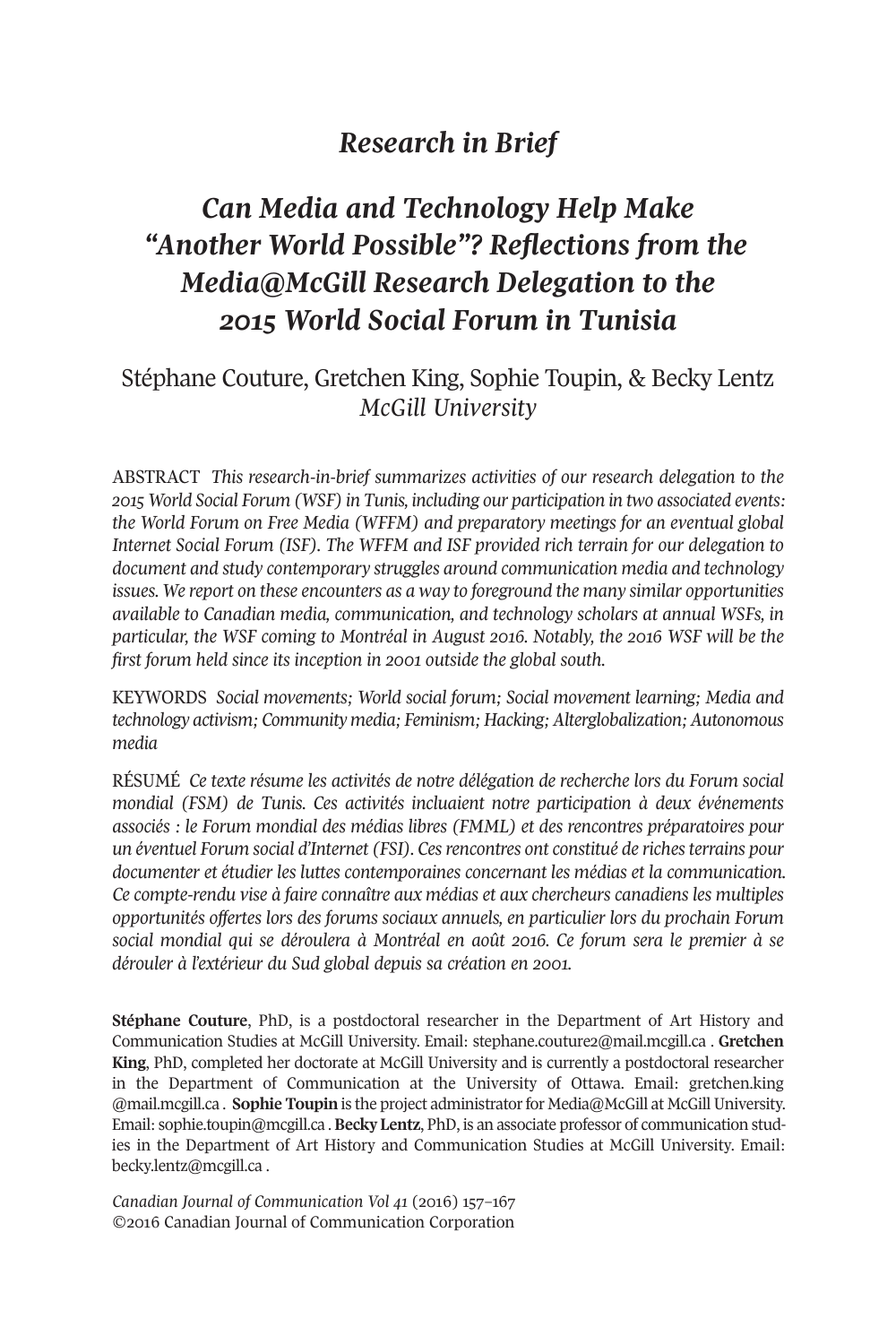## *Research in Brief*

# *Can Media and Technology Help Make "Another World Possible"? Reflections from the Media@McGill Research Delegation to the 2015 World Social Forum in Tunisia*

## Stéphane Couture, Gretchen King, Sophie Toupin, & Becky Lentz *McGill University*

ABSTRACT *This research-in-brief summarizes activities of our research delegation to the 2015 World Social Forum (WSF) in Tunis, including our participation in two associated events: the World Forum on Free Media (WFFM) and preparatory meetings for an eventual global Internet Social Forum (ISF). The WFFM and ISF provided rich terrain for our delegation to document and study contemporary struggles around communication media and technology issues. We report on these encounters as a way to foreground the many similar opportunities available to Canadian media, communication, and technology scholars at annual WSFs, in particular, the WSF coming to Montréal in August 2016. Notably, the 2016 WSF will be the first forum held since its inception in 2001 outside the global south.*

KEYWORDS *Social movements; World social forum; Social movement learning; Media and technology activism; Community media; Feminism; Hacking;Alterglobalization;Autonomous media*

RÉSUMÉ *Ce texte résume les activités de notre délégation de recherche lors du Forum social mondial (FSM) de Tunis. Ces activités incluaient notre participation à deux événements associés : le Forum mondial des médias libres (FMML) et des rencontres préparatoires pour un éventuel Forum social d'Internet (FSI). Cesrencontres ont constitué de richesterrains pour documenter et étudier les luttes contemporaines concernant les médias et la communication. Ce compte-rendu vise à faire connaître aux médias et aux chercheurs canadiens les multiples opportunités offertes lors des forums sociaux annuels, en particulier lors du prochain Forum social mondial qui se déroulera à Montréal en août 2016. Ce forum sera le premier à se dérouler à l'extérieur du Sud global depuis sa création en 2001.*

**Stéphane Couture**, PhD, is a postdoctoral researcher in the Department of Art History and Communication Studies at McGill University. Email: [stephane.couture2@mail.mcgill.ca](mailto:stephane.couture2@mail.mcgill.ca) . **Gretchen King**, PhD, completed her doctorate at McGill University and is currently a postdoctoral researcher in the Department of Communication at the University of Ottawa. Email: [gretchen.king](mailto:gretchen.king@mail.mcgill.ca) [@mail.mcgill.ca](mailto:gretchen.king@mail.mcgill.ca) . **Sophie Toupin** is the project administrator for Media@McGill at McGill University. Email: [sophie.toupin@mcgill.ca](mailto:sophie.toupin@mcgill.ca) . **Becky Lentz**, PhD, is an associate professor of communication studies in the Department of Art History and Communication Studies at McGill University. Email: [becky.lentz@mcgill.ca](mailto:becky.lentz@mcgill.ca) .

*Canadian Journal of [Communication](http://www.cjc-online.ca) Vol 41* (2016) 157–167 ©2016 Canadian Journal of Communication Corporation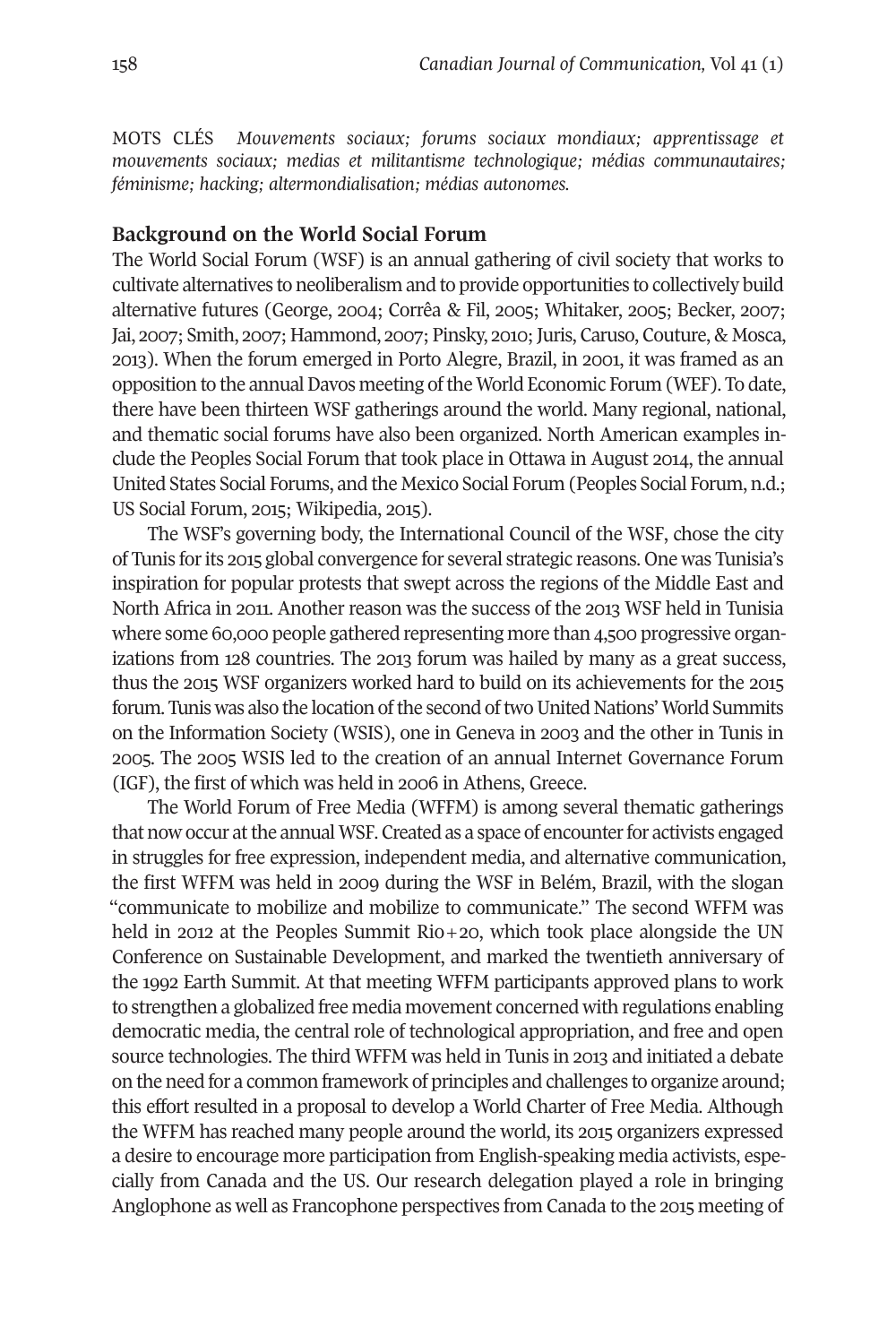MOTS CLÉS *Mouvements sociaux; forums sociaux mondiaux; apprentissage et mouvements sociaux; medias et militantisme technologique; médias communautaires; féminisme; hacking; altermondialisation; médias autonomes.*

#### **Background on the World Social Forum**

The World Social Forum (WSF) is an annual gathering of civil society that works to cultivate alternatives to neoliberalism and to provide opportunities to collectively build alternative futures (George, 2004; Corrêa & Fil, 2005; Whitaker, 2005; Becker, 2007; Jai, 2007; Smith, 2007; Hammond, 2007; Pinsky, 2010; Juris, Caruso, Couture, & Mosca, 2013). When the forum emerged in Porto Alegre, Brazil, in 2001, it was framed as an opposition to the annualDavos meeting ofthe World Economic Forum (WEF). To date, there have been thirteen WSF gatherings around the world. Many regional, national, and thematic social forums have also been organized. North American examples include the Peoples Social Forum that took place in Ottawa in August 2014, the annual United States Social Forums, and the Mexico Social Forum (Peoples Social Forum, n.d.; US Social Forum, 2015; Wikipedia, 2015).

The WSF's governing body, the International Council of the WSF, chose the city of Tunis forits 2015 global convergence for several strategic reasons. One was Tunisia's inspiration for popular protests that swept across the regions of the Middle East and North Africa in 2011. Another reason was the success of the 2013 WSF held in Tunisia where some 60,000 people gathered representing more than 4,500 progressive organizations from 128 countries. The 2013 forum was hailed by many as a great success, thus the 2015 WSF organizers worked hard to build on its achievements for the 2015 forum. Tunis was also the location of the second of two United Nations' World Summits on the Information Society (WSIS), one in Geneva in 2003 and the other in Tunis in 2005. The 2005 WSIS led to the creation of an annual Internet Governance Forum (IGF), the first of which was held in 2006 in Athens, Greece.

The World Forum of Free Media (WFFM) is among several thematic gatherings that now occur at the annual WSF. Created as a space of encounter for activists engaged in struggles for free expression, independent media, and alternative communication, the first WFFM was held in 2009 during the WSF in Belém, Brazil, with the slogan "communicate to mobilize and mobilize to communicate." The second WFFM was held in 2012 at the Peoples Summit Rio+20, which took place alongside the UN Conference on Sustainable Development, and marked the twentieth anniversary of the 1992 Earth Summit. At that meeting WFFM participants approved plans to work to strengthen a globalized free media movement concerned with regulations enabling democratic media, the central role of technological appropriation, and free and open source technologies. The third WFFM was held in Tunis in 2013 and initiated a debate on the need for a common framework of principles and challenges to organize around; this effort resulted in a proposal to develop a World Charter of Free Media. Although the WFFM has reached many people around the world, its 2015 organizers expressed a desire to encourage more participation from English-speaking media activists, especially from Canada and the US. Our research delegation played a role in bringing Anglophone as well as Francophone perspectives from Canada to the 2015 meeting of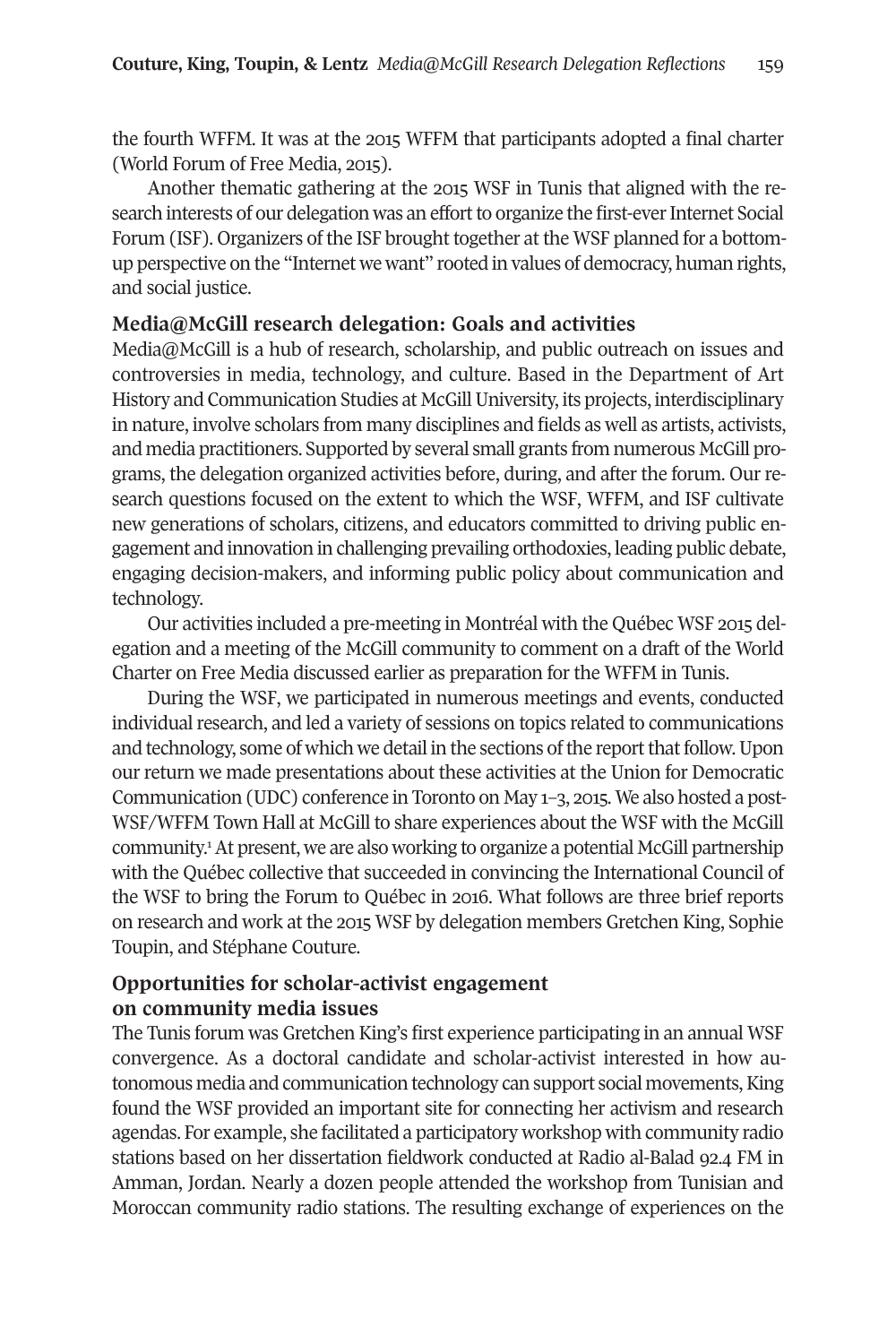the fourth WFFM. It was at the 2015 WFFM that participants adopted a final charter (World Forum of Free Media, 2015).

Another thematic gathering at the 2015 WSF in Tunis that aligned with the research interests of our delegation was an effort to organize the first-ever Internet Social Forum (ISF). Organizers of the ISF brought together at the WSF planned for a bottomup perspective on the "Internet we want" rooted in values of democracy, human rights, and social justice.

#### **Media@McGill research delegation: Goals and activities**

Media@McGill is a hub of research, scholarship, and public outreach on issues and controversies in media, technology, and culture. Based in the Department of Art History and Communication Studies at McGillUniversity, its projects, interdisciplinary in nature, involve scholars from many disciplines and fields as well as artists, activists, and media practitioners. Supported by several small grants from numerous McGill programs, the delegation organized activities before, during, and after the forum. Our research questions focused on the extent to which the WSF, WFFM, and ISF cultivate new generations of scholars, citizens, and educators committed to driving public engagement and innovation in challenging prevailing orthodoxies, leading public debate, engaging decision-makers, and informing public policy about communication and technology.

Our activities included a pre-meeting in Montréal with the Québec WSF 2015 delegation and a meeting of the McGill community to comment on a draft of the World Charter on Free Media discussed earlier as preparation for the WFFM in Tunis.

During the WSF, we participated in numerous meetings and events, conducted individual research, and led a variety of sessions on topics related to communications and technology, some of which we detail in the sections of the report that follow. Upon our return we made presentations about these activities at the Union for Democratic Communication (UDC) conference in Toronto on May 1–3, 2015. We also hosted a post-WSF/WFFM Town Hall at McGill to share experiences about the WSF with the McGill community. [1](#page-9-0)At present, we are also working to organize a potential McGill partnership with the Québec collective that succeeded in convincing the International Council of the WSF to bring the Forum to Québec in 2016. What follows are three brief reports on research and work at the 2015 WSF by delegation members Gretchen King, Sophie Toupin, and Stéphane Couture.

#### **Opportunities for scholar-activist engagement on community media issues**

The Tunis forum was Gretchen King's first experience participating in an annual WSF convergence. As a doctoral candidate and scholar-activist interested in how autonomous media and communication technology can support social movements,King found the WSF provided an important site for connecting her activism and research agendas. For example, she facilitated a participatory workshop with community radio stations based on her dissertation fieldwork conducted at Radio al-Balad 92.4 FM in Amman, Jordan. Nearly a dozen people attended the workshop from Tunisian and Moroccan community radio stations. The resulting exchange of experiences on the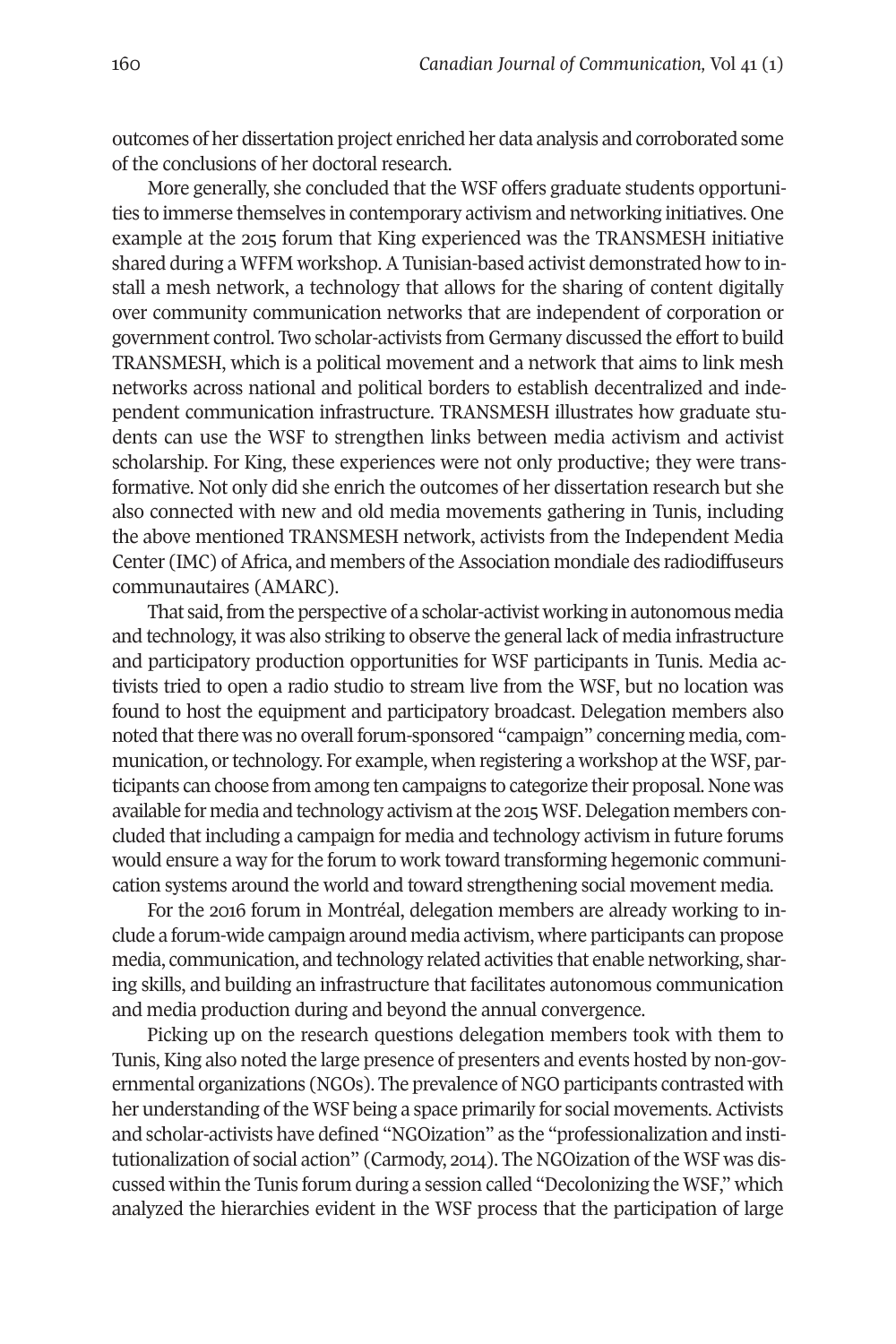outcomes of her dissertation project enriched her data analysis and corroborated some of the conclusions of her doctoral research.

More generally, she concluded that the WSF offers graduate students opportunities to immerse themselves in contemporary activism and networking initiatives. One example at the 2015 forum that King experienced was the TRANSMESH initiative shared during a WFFM workshop. A Tunisian-based activist demonstrated how to install a mesh network, a technology that allows for the sharing of content digitally over community communication networks that are independent of corporation or government control. Two scholar-activists from Germany discussed the effortto build TRANSMESH, which is a political movement and a network that aims to link mesh networks across national and political borders to establish decentralized and independent communication infrastructure. TRANSMESH illustrates how graduate students can use the WSF to strengthen links between media activism and activist scholarship. For King, these experiences were not only productive; they were transformative. Not only did she enrich the outcomes of her dissertation research but she also connected with new and old media movements gathering in Tunis, including the above mentioned TRANSMESH network, activists from the Independent Media Center (IMC) of Africa, and members of the Association mondiale des radiodiffuseurs communautaires (AMARC).

That said, from the perspective of a scholar-activist working in autonomous media and technology, it was also striking to observe the general lack of media infrastructure and participatory production opportunities for WSF participants in Tunis. Media activists tried to open a radio studio to stream live from the WSF, but no location was found to host the equipment and participatory broadcast. Delegation members also noted that there was no overall forum-sponsored "campaign" concerning media, communication, or technology. For example, when registering a workshop at the WSF, participants can choose from among ten campaigns to categorize their proposal. None was available for media and technology activism at the 2015 WSF. Delegation members concluded that including a campaign for media and technology activism in future forums would ensure a way for the forum to work toward transforming hegemonic communication systems around the world and toward strengthening social movement media.

For the 2016 forum in Montréal, delegation members are already working to include a forum-wide campaign around media activism, where participants can propose media, communication, and technology related activities that enable networking, sharing skills, and building an infrastructure that facilitates autonomous communication and media production during and beyond the annual convergence.

Picking up on the research questions delegation members took with them to Tunis, King also noted the large presence of presenters and events hosted by non-governmental organizations (NGOs). The prevalence of NGO participants contrasted with her understanding of the WSF being a space primarily for social movements. Activists and scholar-activists have defined "NGOization" as the "professionalization and institutionalization of social action" (Carmody, 2014). The NGOization ofthe WSF was discussed within the Tunis forum during a session called "Decolonizing the WSF," which analyzed the hierarchies evident in the WSF process that the participation of large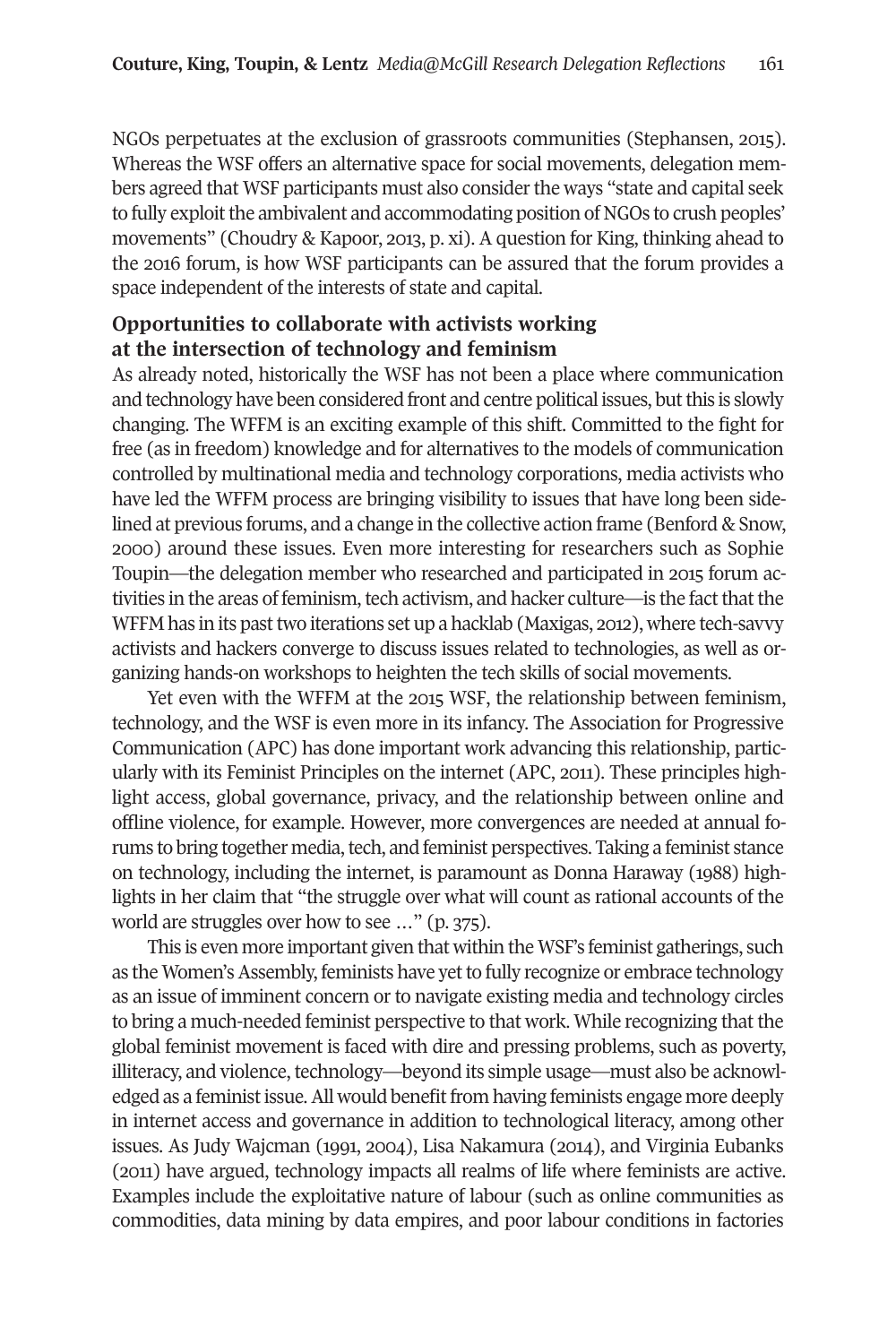NGOs perpetuates at the exclusion of grassroots communities (Stephansen, 2015). Whereas the WSF offers an alternative space for social movements, delegation members agreed that WSF participants must also consider the ways "state and capital seek to fully exploit the ambivalent and accommodating position of NGOs to crush peoples' movements" (Choudry & Kapoor, 2013, p. xi). A question for King, thinking ahead to the 2016 forum, is how WSF participants can be assured that the forum provides a space independent of the interests of state and capital.

#### **Opportunities to collaborate with activists working at the intersection of technology and feminism**

As already noted, historically the WSF has not been a place where communication and technology have been considered front and centre political issues, butthis is slowly changing. The WFFM is an exciting example of this shift. Committed to the fight for free (as in freedom) knowledge and for alternatives to the models of communication controlled by multinational media and technology corporations, media activists who have led the WFFM process are bringing visibility to issues that have long been sidelined at previous forums, and a change in the collective action frame (Benford & Snow, 2000) around these issues. Even more interesting for researchers such as Sophie Toupin—the delegation member who researched and participated in 2015 forum activities in the areas of feminism, tech activism, and hacker culture—is the fact that the WFFM has in its past two iterations set up a hacklab (Maxigas, 2012), where tech-savvy activists and hackers converge to discuss issues related to technologies, as well as organizing hands-on workshops to heighten the tech skills of social movements.

Yet even with the WFFM at the 2015 WSF, the relationship between feminism, technology, and the WSF is even more in its infancy. The Association for Progressive Communication (APC) has done important work advancing this relationship, particularly with its Feminist Principles on the internet (APC, 2011). These principles highlight access, global governance, privacy, and the relationship between online and offline violence, for example. However, more convergences are needed at annual forums to bring together media, tech, and feminist perspectives. Taking a feminist stance on technology, including the internet, is paramount as Donna Haraway (1988) highlights in her claim that "the struggle over what will count as rational accounts of the world are struggles over how to see …" (p. 375).

This is even more important given that within the WSF's feminist gatherings, such as the Women's Assembly, feminists have yet to fully recognize or embrace technology as an issue of imminent concern or to navigate existing media and technology circles to bring a much-needed feminist perspective to that work. While recognizing that the global feminist movement is faced with dire and pressing problems, such as poverty, illiteracy, and violence, technology—beyond its simple usage—must also be acknowledged as a feminist issue. All would benefit from having feminists engage more deeply in internet access and governance in addition to technological literacy, among other issues. As Judy Wajcman (1991, 2004), Lisa Nakamura (2014), and Virginia Eubanks (2011) have argued, technology impacts all realms of life where feminists are active. Examples include the exploitative nature of labour (such as online communities as commodities, data mining by data empires, and poor labour conditions in factories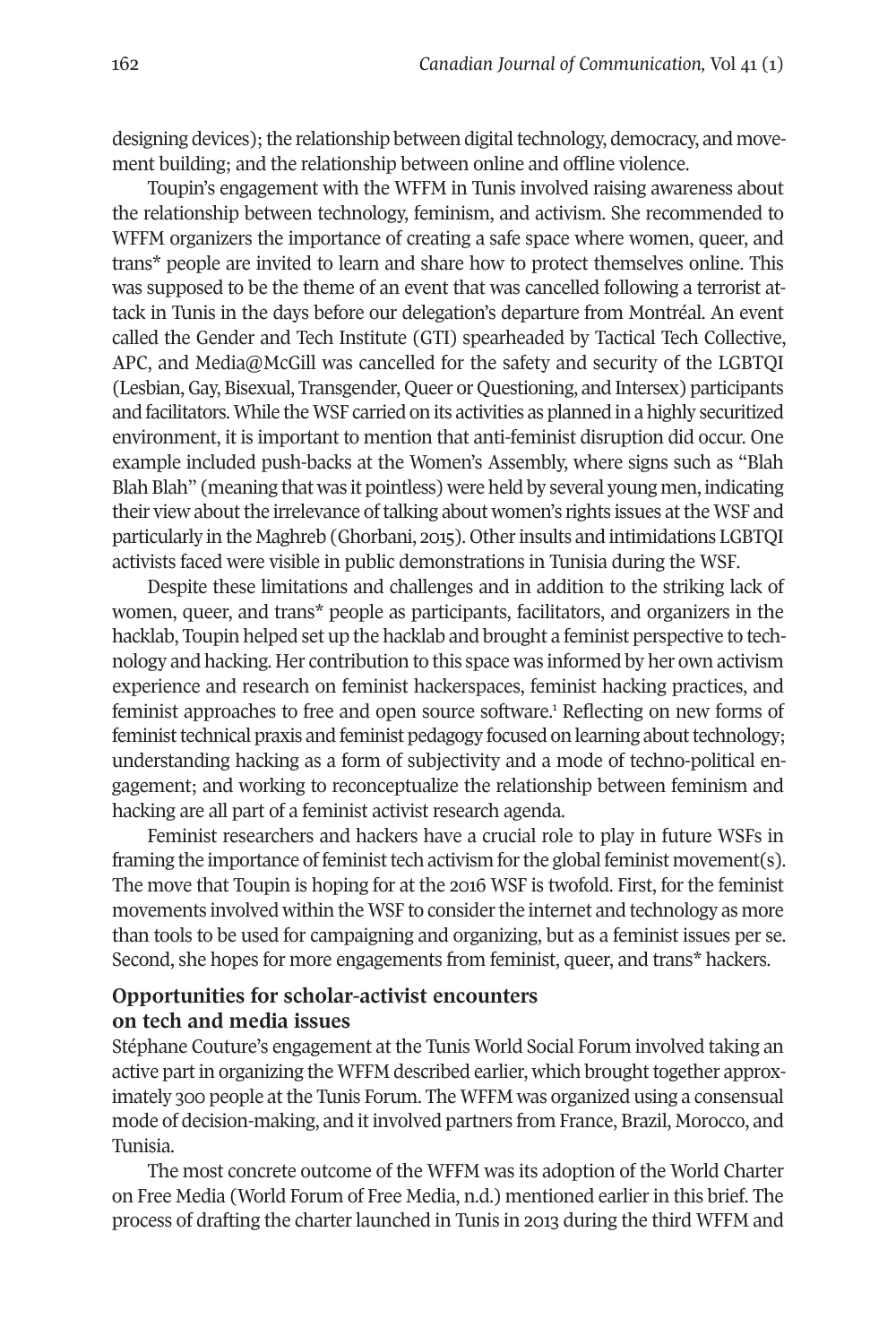designing devices); the relationship between digital technology, democracy, and movement building; and the relationship between online and offline violence.

Toupin's engagement with the WFFM in Tunis involved raising awareness about the relationship between technology, feminism, and activism. She recommended to WFFM organizers the importance of creating a safe space where women, queer, and trans\* people are invited to learn and share how to protect themselves online. This was supposed to be the theme of an event that was cancelled following a terrorist attack in Tunis in the days before our delegation's departure from Montréal. An event called the Gender and Tech Institute (GTI) spearheaded by Tactical Tech Collective, APC, and Media@McGill was cancelled for the safety and security of the LGBTQI (Lesbian,Gay, Bisexual, Transgender, Queer or Questioning, and Intersex) participants and facilitators.While theWSF carried on its activities as planned in a highly securitized environment, it is important to mention that anti-feminist disruption did occur. One example included push-backs at the Women's Assembly, where signs such as "Blah Blah Blah" (meaning that was it pointless) were held by several young men, indicating their view about the irrelevance of talking about women's rights issues at the WSF and particularly in the Maghreb (Ghorbani, 2015). Otherinsults and intimidations LGBTQI activists faced were visible in public demonstrations in Tunisia during the WSF.

Despite these limitations and challenges and in addition to the striking lack of women, queer, and trans\* people as participants, facilitators, and organizers in the hacklab, Toupin helped set up the hacklab and brought a feminist perspective to technology and hacking. Her contribution to this space was informed by her own activism experience and research on feminist hackerspaces, fe[m](#page-9-0)inist hacking practices, and feminist approaches to free and open source software. <sup>1</sup> Reflecting on new forms of feminist technical praxis and feminist pedagogy focused on learning about technology; understanding hacking as a form of subjectivity and a mode of techno-political engagement; and working to reconceptualize the relationship between feminism and hacking are all part of a feminist activist research agenda.

Feminist researchers and hackers have a crucial role to play in future WSFs in framing the importance of feminist tech activism for the global feminist movement(s). The move that Toupin is hoping for at the 2016 WSF is twofold. First, for the feminist movements involved within the WSF to consider the internet and technology as more than tools to be used for campaigning and organizing, but as a feminist issues per se. Second, she hopes for more engagements from feminist, queer, and trans\* hackers.

#### **Opportunities for scholar-activist encounters on tech and media issues**

Stéphane Couture's engagement at the Tunis World Social Forum involved taking an active part in organizing the WFFM described earlier, which brought together approximately 300 people at the Tunis Forum. The WFFM was organized using a consensual mode of decision-making, and it involved partners from France, Brazil, Morocco, and Tunisia.

The most concrete outcome of the WFFM was its adoption of the World Charter on Free Media (World Forum of Free Media, n.d.) mentioned earlier in this brief. The process of drafting the charter launched in Tunis in 2013 during the third WFFM and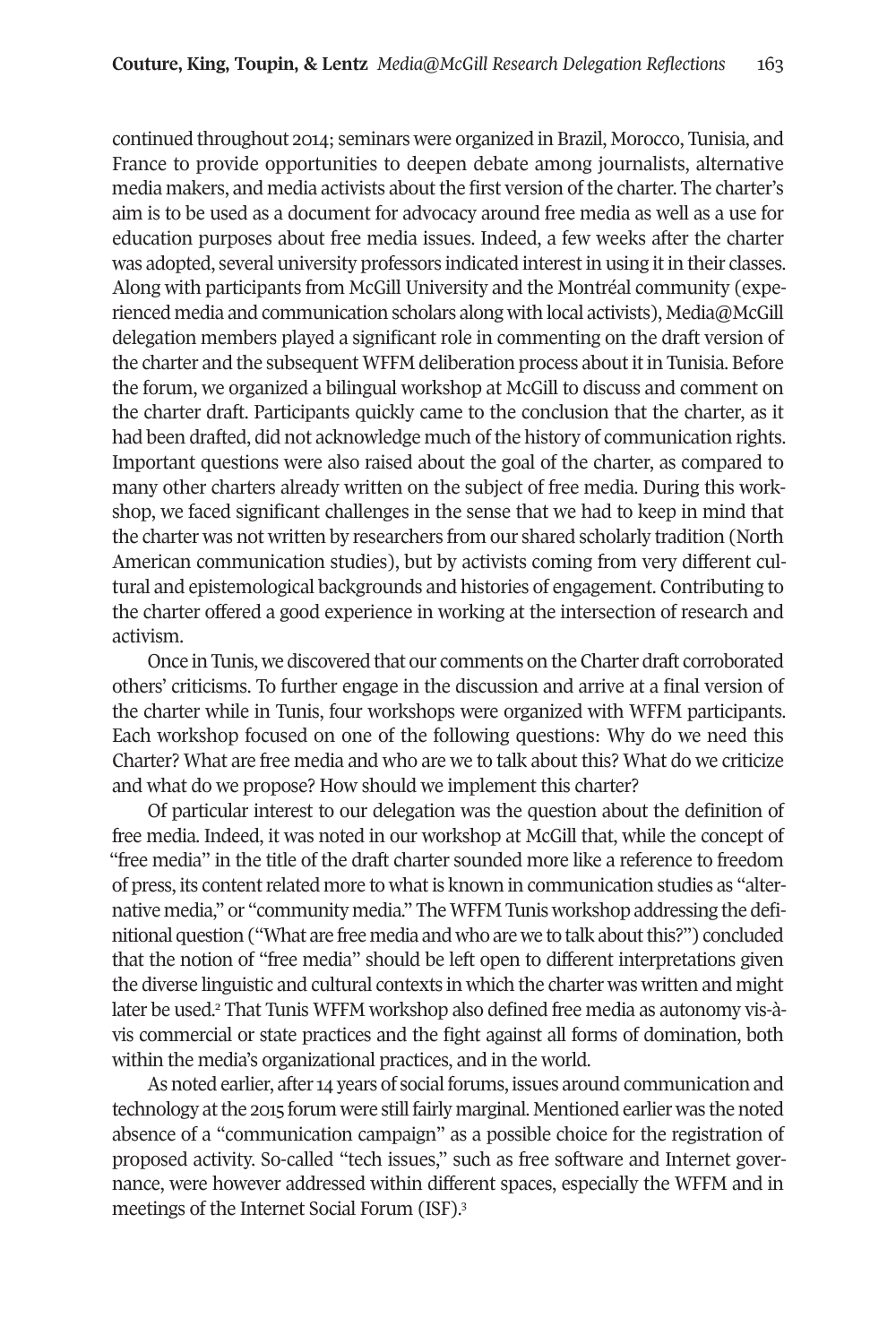continued throughout 2014; seminars were organized in Brazil, Morocco, Tunisia, and France to provide opportunities to deepen debate among journalists, alternative media makers, and media activists about the first version of the charter. The charter's aim is to be used as a document for advocacy around free media as well as a use for education purposes about free media issues. Indeed, a few weeks after the charter was adopted, several university professors indicated interest in using it in their classes. Along with participants from McGill University and the Montréal community (experienced media and communication scholars along with local activists), Media@McGill delegation members played a significant role in commenting on the draft version of the charter and the subsequent WFFM deliberation process about it in Tunisia. Before the forum, we organized a bilingual workshop at McGill to discuss and comment on the charter draft. Participants quickly came to the conclusion that the charter, as it had been drafted, did not acknowledge much of the history of communication rights. Important questions were also raised about the goal of the charter, as compared to many other charters already written on the subject of free media. During this workshop, we faced significant challenges in the sense that we had to keep in mind that the charter was not written by researchers from our shared scholarly tradition (North American communication studies), but by activists coming from very different cultural and epistemological backgrounds and histories of engagement. Contributing to the charter offered a good experience in working at the intersection of research and activism.

Once in Tunis, we discovered that our comments on the Charter draft corroborated others' criticisms. To further engage in the discussion and arrive at a final version of the charter while in Tunis, four workshops were organized with WFFM participants. Each workshop focused on one of the following questions: Why do we need this Charter? What are free media and who are we to talk about this? What do we criticize and what do we propose? How should we implement this charter?

Of particular interest to our delegation was the question about the definition of free media. Indeed, it was noted in our workshop at McGill that, while the concept of "free media" in the title of the draft charter sounded more like a reference to freedom of press, its content related more to what is known in communication studies as "alternative media," or "community media." TheWFFM Tunis workshop addressing the definitional question ("What are free media and who are we to talk about this?") concluded that the notion of "free media" should be left open to different interpretations given the diverse l[ing](#page-9-2)uistic and cultural contexts in which the charter was written and might later be used. <sup>2</sup> That Tunis WFFM workshop also defined free media as autonomy vis-àvis commercial or state practices and the fight against all forms of domination, both within the media's organizational practices, and in the world.

As noted earlier, after 14 years of social forums, issues around communication and technology at the 2015 forum were still fairly marginal. Mentioned earlier was the noted absence of a "communication campaign" as a possible choice for the registration of proposed activity. So-called "tech issues," such as free software and Internet governance, were however addressed within diff[er](#page-9-1)ent spaces, especially the WFFM and in meetings of the Internet Social Forum (ISF). 3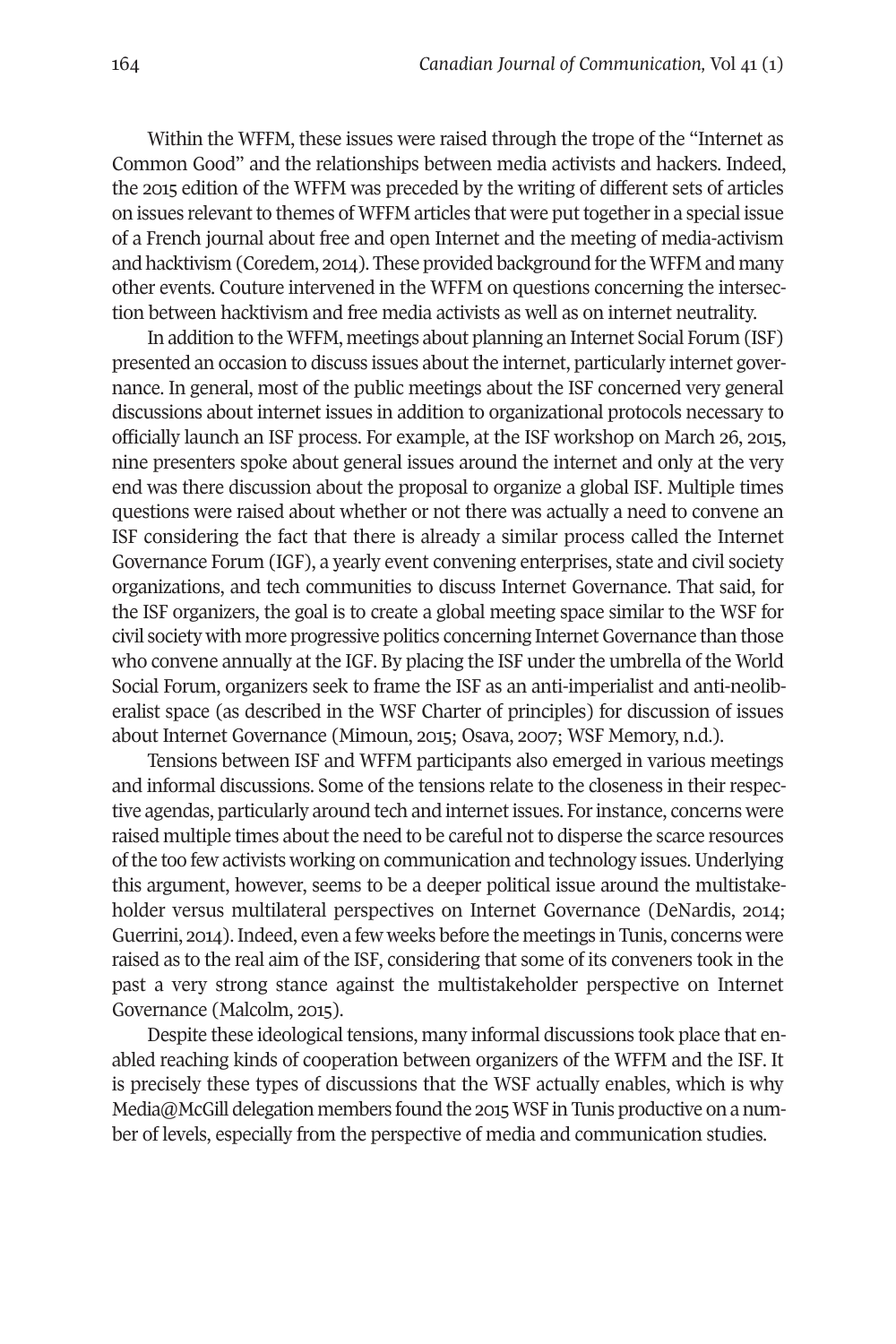Within the WFFM, these issues were raised through the trope of the "Internet as Common Good" and the relationships between media activists and hackers. Indeed, the 2015 edition of the WFFM was preceded by the writing of different sets of articles on issues relevant to themes of WFFM articles that were put together in a special issue of a French journal about free and open Internet and the meeting of media-activism and hacktivism (Coredem, 2014). These provided background forthe WFFM and many other events. Couture intervened in the WFFM on questions concerning the intersection between hacktivism and free media activists as well as on internet neutrality.

In addition to the WFFM, meetings about planning an Internet Social Forum (ISF) presented an occasion to discuss issues about the internet, particularly internet governance. In general, most of the public meetings about the ISF concerned very general discussions about internet issues in addition to organizational protocols necessary to officially launch an ISF process. For example, at the ISF workshop on March 26, 2015, nine presenters spoke about general issues around the internet and only at the very end was there discussion about the proposal to organize a global ISF. Multiple times questions were raised about whether or not there was actually a need to convene an ISF considering the fact that there is already a similar process called the Internet Governance Forum (IGF), a yearly event convening enterprises, state and civil society organizations, and tech communities to discuss Internet Governance. That said, for the ISF organizers, the goal is to create a global meeting space similar to the WSF for civil society with more progressive politics concerning InternetGovernance than those who convene annually at the IGF. By placing the ISF underthe umbrella of the World Social Forum, organizers seek to frame the ISF as an anti-imperialist and anti-neoliberalist space (as described in the WSF Charter of principles) for discussion of issues about Internet Governance (Mimoun, 2015; Osava, 2007; WSF Memory, n.d.).

Tensions between ISF and WFFM participants also emerged in various meetings and informal discussions. Some of the tensions relate to the closeness in their respective agendas, particularly around tech and internetissues. Forinstance, concerns were raised multiple times about the need to be careful not to disperse the scarce resources of the too few activists working on communication and technology issues. Underlying this argument, however, seems to be a deeper political issue around the multistakeholder versus multilateral perspectives on Internet Governance (DeNardis, 2014; Guerrini, 2014). Indeed, even a few weeks before the meetings in Tunis, concerns were raised as to the real aim of the ISF, considering that some of its conveners took in the past a very strong stance against the multistakeholder perspective on Internet Governance (Malcolm, 2015).

Despite these ideological tensions, many informal discussions took place that enabled reaching kinds of cooperation between organizers of the WFFM and the ISF. It is precisely these types of discussions that the WSF actually enables, which is why Media@McGill delegation members found the 2015 WSF in Tunis productive on a number of levels, especially from the perspective of media and communication studies.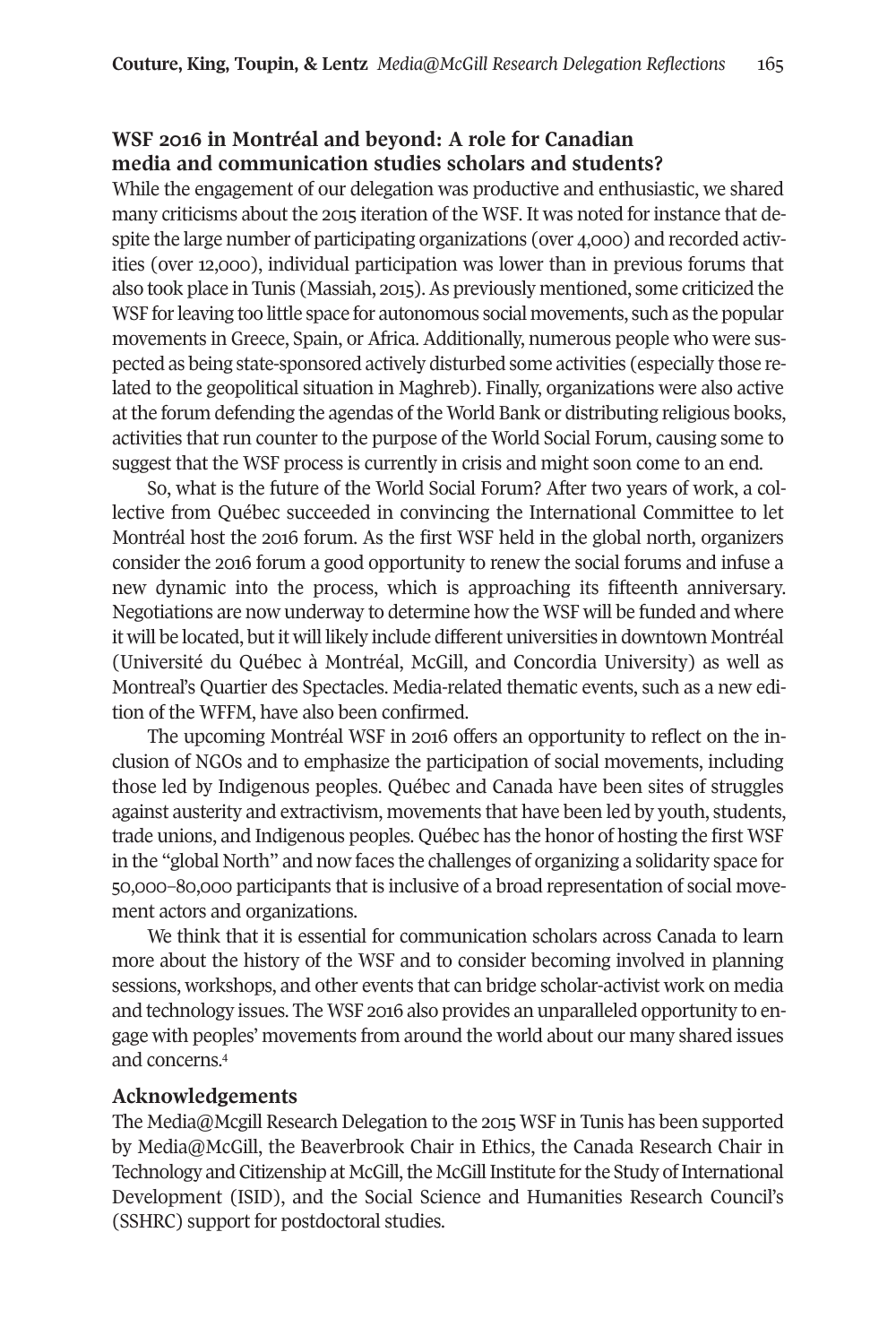### **WSF 2016 in Montréal and beyond: A role for Canadian media and communication studies scholars and students?**

While the engagement of our delegation was productive and enthusiastic, we shared many criticisms about the 2015 iteration of the WSF. It was noted for instance that despite the large number of participating organizations (over 4,000) and recorded activities (over 12,000), individual participation was lower than in previous forums that also took place in Tunis (Massiah, 2015). As previously mentioned, some criticized the WSF forleaving too little space for autonomous social movements, such as the popular movements in Greece, Spain, or Africa. Additionally, numerous people who were suspected as being state-sponsored actively disturbed some activities (especially those related to the geopolitical situation in Maghreb). Finally, organizations were also active at the forum defending the agendas of the World Bank or distributing religious books, activities that run counter to the purpose of the World Social Forum, causing some to suggest that the WSF process is currently in crisis and might soon come to an end.

So, what is the future of the World Social Forum? After two years of work, a collective from Québec succeeded in convincing the International Committee to let Montréal host the 2016 forum. As the first WSF held in the global north, organizers consider the 2016 forum a good opportunity to renew the social forums and infuse a new dynamic into the process, which is approaching its fifteenth anniversary. Negotiations are now underway to determine how the WSF will be funded and where it will be located, but it will likely include different universities in downtown Montréal (Université du Québec à Montréal, McGill, and Concordia University) as well as Montreal's Quartier des Spectacles. Media-related thematic events, such as a new edition of the WFFM, have also been confirmed.

The upcoming Montréal WSF in 2016 offers an opportunity to reflect on the inclusion of NGOs and to emphasize the participation of social movements, including those led by Indigenous peoples. Québec and Canada have been sites of struggles against austerity and extractivism, movements that have been led by youth, students, trade unions, and Indigenous peoples. Québec has the honor of hosting the first WSF in the "global North" and now faces the challenges of organizing a solidarity space for 50,000–80,000 participants that is inclusive of a broad representation of social movement actors and organizations.

We think that it is essential for communication scholars across Canada to learn more about the history of the WSF and to consider becoming involved in planning sessions, workshops, and other events that can bridge scholar-activist work on media and technology issues. The WSF 2016 also provides an unparalleled opportunity to engage with pe[op](#page-9-3)les' movements from around the world about our many shared issues and concerns. 4

#### **Acknowledgements**

The Media@Mcgill Research Delegation to the 2015 WSF in Tunis has been supported by Media@McGill, the Beaverbrook Chair in Ethics, the Canada Research Chair in Technology and Citizenship at McGill, the McGill Institute for the Study of International Development (ISID), and the Social Science and Humanities Research Council's (SSHRC) support for postdoctoral studies.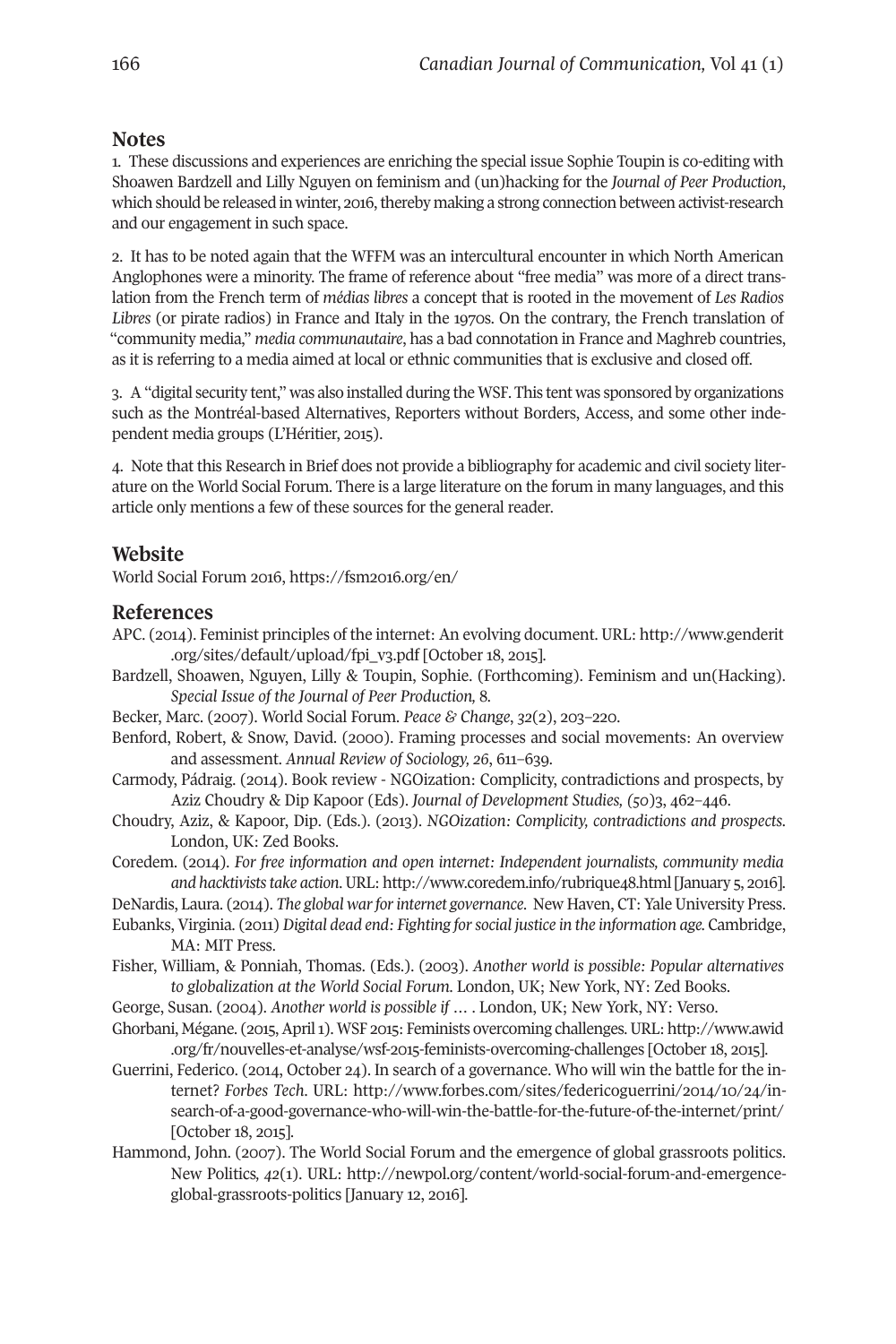#### <span id="page-9-0"></span>**Notes**

1. These discussions and experiences are enriching the special issue Sophie Toupin is co-editing with Shoawen Bardzell and Lilly Nguyen on feminism and (un)hacking for the *Journal of Peer Production*, which should be released in winter, 2016, thereby making a strong connection between activist-research and our engagement in such space.

<span id="page-9-2"></span>2. It has to be noted again that the WFFM was an intercultural encounter in which North American Anglophones were a minority. The frame of reference about "free media" was more of a direct translation from the French term of *médias libres* a concept that is rooted in the movement of *Les Radios Libres* (or pirate radios) in France and Italy in the 1970s. On the contrary, the French translation of "community media," *media communautaire*, has a bad connotation in France and Maghreb countries, as it is referring to a media aimed at local or ethnic communities that is exclusive and closed off.

<span id="page-9-1"></span>3. A"digital security tent," was also installed during the WSF. This tent was sponsored by organizations such as the Montréal-based Alternatives, Reporters without Borders, Access, and some other independent media groups (L'Héritier, 2015).

<span id="page-9-3"></span>4. Note that this Research in Brief does not provide a bibliography for academic and civil society literature on the World Social Forum. There is a large literature on the forum in many languages, and this article only mentions a few of these sources for the general reader.

#### **Website**

World Social Forum 2016, <https://fsm2016.org/en/>

#### **References**

- APC. (2014). Feminist principles of the internet: An evolving document. URL: [http://www.genderit](http://www.genderit.org/sites/default/upload/fpi_v3.pdf) [.org/sites/default/upload/fpi\\_v3.pdf](http://www.genderit.org/sites/default/upload/fpi_v3.pdf) [October 18, 2015].
- Bardzell, Shoawen, Nguyen, Lilly & Toupin, Sophie. (Forthcoming). Feminism and un(Hacking). *Special Issue of the Journal of Peer Production,* 8.
- Becker, Marc. (2007). World Social Forum. *Peace & Change*, *32*(2), 203–220.
- Benford, Robert, & Snow, David. (2000). Framing processes and social movements: An overview and assessment. *Annual Review of Sociology, 26*, 611–639.
- Carmody, Pádraig. (2014). Book review NGOization: Complicity, contradictions and prospects, by Aziz Choudry & Dip Kapoor (Eds). *Journal of Development Studies, (50*)3, 462–446.
- Choudry, Aziz, & Kapoor, Dip. (Eds.). (2013). *NGOization: Complicity, contradictions and prospects*. London, UK: Zed Books.
- Coredem. (2014). *For free information and open internet: Independent journalists, community media and hacktiviststake action*.URL: <http://www.coredem.info/rubrique48.html> [January 5, 2016].
- DeNardis, Laura. (2014). *The global war for internet governance*. New Haven, CT: Yale University Press. Eubanks, Virginia. (2011) *Digital dead end: Fighting forsocial justice in the information age.* Cambridge,
- MA: MIT Press.
- Fisher, William, & Ponniah, Thomas. (Eds.). (2003). *Another world is possible: Popular alternatives to globalization at the World Social Forum*. London, UK; New York, NY: Zed Books.
- George, Susan. (2004). *Another world is possible if … .* London, UK; New York, NY: Verso.
- Ghorbani, Mégane. (2015,April1). WSF 2015: Feminists overcoming challenges.URL: [http://www.awid](http://www.awid.org/fr/nouvelles-et-analyse/wsf-2015-feminists-overcoming-challenges ) [.org/fr/nouvelles-et-analyse/wsf-2015-feminists-overcoming-challenges](http://www.awid.org/fr/nouvelles-et-analyse/wsf-2015-feminists-overcoming-challenges ) [October 18, 2015].
- Guerrini, Federico. (2014, October 24). In search of a governance. Who will win the battle for the internet? *Forbes Tech*. URL: [http://www.forbes.com/sites/federicoguerrini/2014/10/24/in](http://www.forbes.com/sites/federicoguerrini/2014/10/24/in-search-of-a-good-governance-who-will-win-the-battle-for-the-future-of-the-internet/print/ )[search-of-a-good-governance-who-will-win-the-battle-for-the-future-of-the-internet/print/](http://www.forbes.com/sites/federicoguerrini/2014/10/24/in-search-of-a-good-governance-who-will-win-the-battle-for-the-future-of-the-internet/print/ ) [October 18, 2015].
- Hammond, John. (2007). The World Social Forum and the emergence of global grassroots politics. New [Politics](http://www.forbes.com/sites/federicoguerrini/2014/10/24/in-search-of-a-good-governance-who-will-win-the-battle-for-the-future-of-the-internet/print/ )*, 42*(1). URL: [http://newpol.org/content/world-social-forum-and-emergence](http://newpol.org/content/world-social-forum-and-emergence-global-grassroots-politics)[global-grassroots-politics](http://newpol.org/content/world-social-forum-and-emergence-global-grassroots-politics) [January 12, 2016].